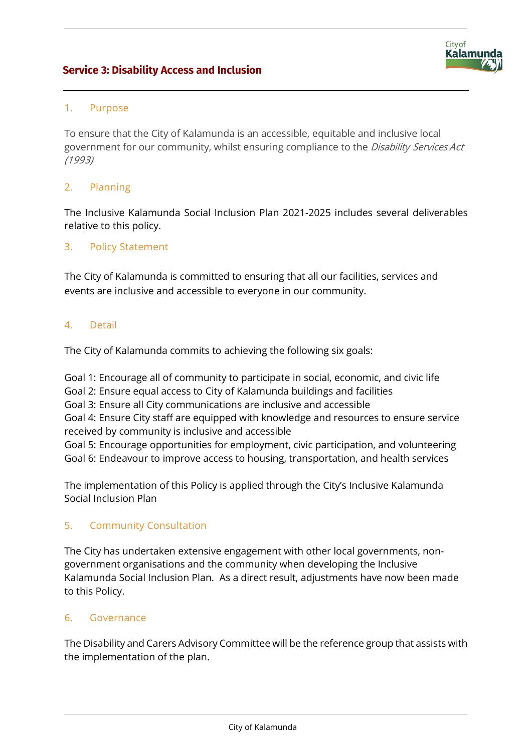# **Service 3: Disability Access and Inclusion**



## 1. Purpose

To ensure that the City of Kalamunda is an accessible, equitable and inclusive local government for our community, whilst ensuring compliance to the Disability Services Act (1993)

## 2. Planning

The Inclusive Kalamunda Social Inclusion Plan 2021-2025 includes several deliverables relative to this policy.

#### 3. Policy Statement

The City of Kalamunda is committed to ensuring that all our facilities, services and events are inclusive and accessible to everyone in our community.

#### 4. Detail

The City of Kalamunda commits to achieving the following six goals:

Goal 1: Encourage all of community to participate in social, economic, and civic life Goal 2: Ensure equal access to City of Kalamunda buildings and facilities Goal 3: Ensure all City communications are inclusive and accessible

Goal 4: Ensure City staff are equipped with knowledge and resources to ensure service received by community is inclusive and accessible

Goal 5: Encourage opportunities for employment, civic participation, and volunteering Goal 6: Endeavour to improve access to housing, transportation, and health services

The implementation of this Policy is applied through the City's Inclusive Kalamunda Social Inclusion Plan

## 5. Community Consultation

The City has undertaken extensive engagement with other local governments, nongovernment organisations and the community when developing the Inclusive Kalamunda Social Inclusion Plan. As a direct result, adjustments have now been made to this Policy.

## 6. Governance

The Disability and Carers Advisory Committee will be the reference group that assists with the implementation of the plan.